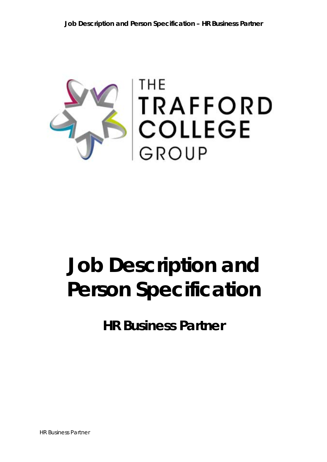

# **Job Description and Person Specification**

**HR Business Partner**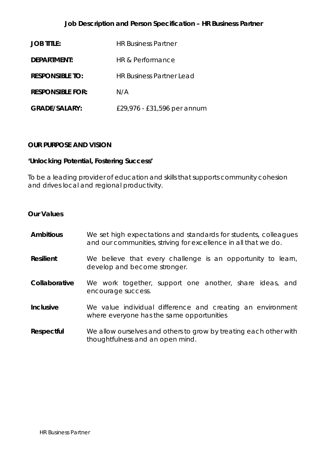## **Job Description and Person Specification – HR Business Partner**

| <b>JOB TITLE:</b>       | <b>HR Business Partner</b>      |
|-------------------------|---------------------------------|
| DEPARTMENT:             | HR & Performance                |
| <b>RESPONSIBLE TO:</b>  | <b>HR Business Partner Lead</b> |
| <b>RESPONSIBLE FOR:</b> | N/A                             |
| <b>GRADE/SALARY:</b>    | £29,976 - £31,596 per annum     |

### **OUR PURPOSE AND VISION**

### *'Unlocking Potential, Fostering Success'*

To be a leading provider of education and skills that supports community cohesion and drives local and regional productivity.

#### **Our Values**

- **Ambitious** We set high expectations and standards for students, colleagues and our communities, striving for excellence in all that we do.
- **Resilient** We believe that every challenge is an opportunity to learn, develop and become stronger.
- **Collaborative** We work together, support one another, share ideas, and encourage success.
- **Inclusive** We value individual difference and creating an environment where everyone has the same opportunities
- **Respectful** We allow ourselves and others to grow by treating each other with thoughtfulness and an open mind.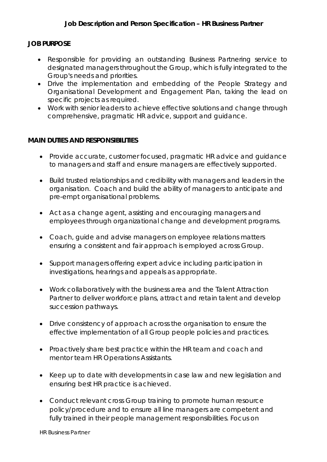## **JOB PURPOSE**

- Responsible for providing an outstanding Business Partnering service to designated managers throughout the Group, which is fully integrated to the Group's needs and priorities.
- Drive the implementation and embedding of the People Strategy and Organisational Development and Engagement Plan, taking the lead on specific projects as required.
- Work with senior leaders to achieve effective solutions and change through comprehensive, pragmatic HR advice, support and guidance.

## **MAIN DUTIES AND RESPONSIBILITIES**

- Provide accurate, customer focused, pragmatic HR advice and guidance to managers and staff and ensure managers are effectively supported.
- Build trusted relationships and credibility with managers and leaders in the organisation. Coach and build the ability of managers to anticipate and pre-empt organisational problems.
- Act as a change agent, assisting and encouraging managers and employees through organizational change and development programs.
- Coach, guide and advise managers on employee relations matters ensuring a consistent and fair approach is employed across Group.
- Support managers offering expert advice including participation in investigations, hearings and appeals as appropriate.
- Work collaboratively with the business area and the Talent Attraction Partner to deliver workforce plans, attract and retain talent and develop succession pathways.
- Drive consistency of approach across the organisation to ensure the effective implementation of all Group people policies and practices.
- Proactively share best practice within the HR team and coach and mentor team HR Operations Assistants.
- Keep up to date with developments in case law and new legislation and ensuring best HR practice is achieved.
- Conduct relevant cross Group training to promote human resource policy/procedure and to ensure all line managers are competent and fully trained in their people management responsibilities. Focus on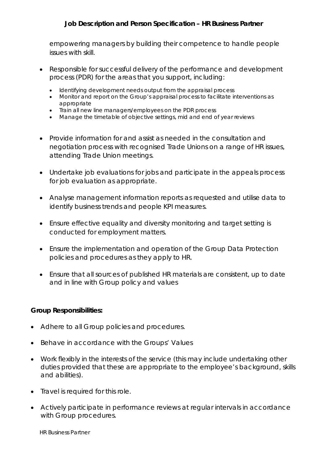# **Job Description and Person Specification – HR Business Partner**

empowering managers by building their competence to handle people issues with skill.

- Responsible for successful delivery of the performance and development process (PDR) for the areas that you support, including:
	- Identifying development needs output from the appraisal process
	- Monitor and report on the Group's appraisal process to facilitate interventions as appropriate
	- Train all new line managers/employees on the PDR process
	- Manage the timetable of objective settings, mid and end of year reviews
- Provide information for and assist as needed in the consultation and negotiation process with recognised Trade Unions on a range of HR issues, attending Trade Union meetings.
- Undertake job evaluations for jobs and participate in the appeals process for job evaluation as appropriate.
- Analyse management information reports as requested and utilise data to identify business trends and people KPI measures.
- Ensure effective equality and diversity monitoring and target setting is conducted for employment matters.
- Ensure the implementation and operation of the Group Data Protection policies and procedures as they apply to HR.
- Ensure that all sources of published HR materials are consistent, up to date and in line with Group policy and values

### **Group Responsibilities:**

- Adhere to all Group policies and procedures.
- Behave in accordance with the Groups' Values
- Work flexibly in the interests of the service (this may include undertaking other duties provided that these are appropriate to the employee's background, skills and abilities).
- Travel is required for this role.
- Actively participate in performance reviews at regular intervals in accordance with Group procedures.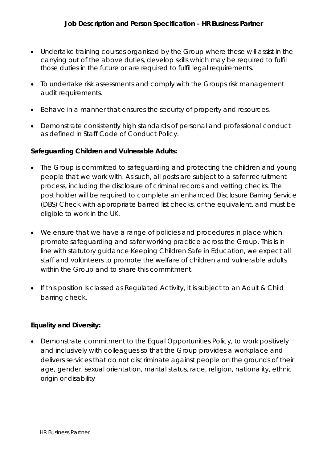- Undertake training courses organised by the Group where these will assist in the carrying out of the above duties, develop skills which may be required to fulfil those duties in the future or are required to fulfil legal requirements.
- To undertake risk assessments and comply with the Groups risk management audit requirements.
- Behave in a manner that ensures the security of property and resources.
- Demonstrate consistently high standards of personal and professional conduct as defined in Staff Code of Conduct Policy.

## **Safeguarding Children and Vulnerable Adults:**

- The Group is committed to safeguarding and protecting the children and young people that we work with. As such, all posts are subject to a safer recruitment process, including the disclosure of criminal records and vetting checks. The post holder will be required to complete an enhanced Disclosure Barring Service (DBS) Check with appropriate barred list checks, or the equivalent, and must be eligible to work in the UK.
- We ensure that we have a range of policies and procedures in place which promote safeguarding and safer working practice across the Group. This is in line with statutory guidance Keeping Children Safe in Education, we expect all staff and volunteers to promote the welfare of children and vulnerable adults within the Group and to share this commitment.
- If this position is classed as Regulated Activity, it is subject to an Adult & Child barring check.

## **Equality and Diversity:**

 Demonstrate commitment to the Equal Opportunities Policy, to work positively and inclusively with colleagues so that the Group provides a workplace and delivers services that do not discriminate against people on the grounds of their age, gender, sexual orientation, marital status, race, religion, nationality, ethnic origin or disability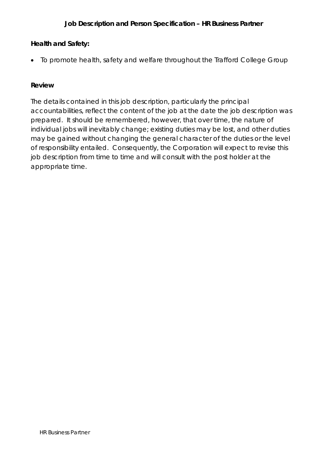# **Health and Safety:**

• To promote health, safety and welfare throughout the Trafford College Group

## **Review**

The details contained in this job description, particularly the principal accountabilities, reflect the content of the job at the date the job description was prepared. It should be remembered, however, that over time, the nature of individual jobs will inevitably change; existing duties may be lost, and other duties may be gained without changing the general character of the duties or the level of responsibility entailed. Consequently, the Corporation will expect to revise this job description from time to time and will consult with the post holder at the appropriate time.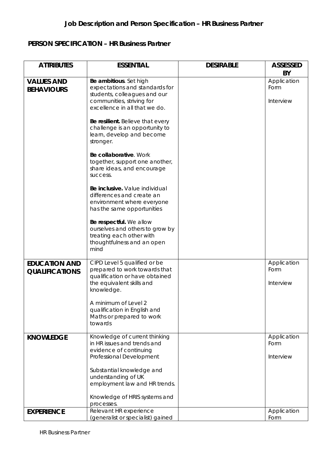# **PERSON SPECIFICATION – HR Business Partner**

| <b>ATTRIBUTES</b>                             | <b>ESSENTIAL</b>                                                                                                                                       | <b>DESIRABLE</b> | <b>ASSESSED</b>                        |
|-----------------------------------------------|--------------------------------------------------------------------------------------------------------------------------------------------------------|------------------|----------------------------------------|
| <b>VALUES AND</b><br><b>BEHAVIOURS</b>        | Be ambitious. Set high<br>expectations and standards for<br>students, colleagues and our<br>communities, striving for<br>excellence in all that we do. |                  | BY<br>Application<br>Form<br>Interview |
|                                               | Be resilient. Believe that every<br>challenge is an opportunity to<br>learn, develop and become<br>stronger.                                           |                  |                                        |
|                                               | Be collaborative. Work<br>together, support one another,<br>share ideas, and encourage<br>success.                                                     |                  |                                        |
|                                               | Be inclusive. Value individual<br>differences and create an<br>environment where everyone<br>has the same opportunities                                |                  |                                        |
|                                               | Be respectful. We allow<br>ourselves and others to grow by<br>treating each other with<br>thoughtfulness and an open<br>mind                           |                  |                                        |
| <b>EDUCATION AND</b><br><b>QUALIFICATIONS</b> | CIPD Level 5 qualified or be<br>prepared to work towards that<br>qualification or have obtained<br>the equivalent skills and<br>knowledge.             |                  | Application<br>Form<br>Interview       |
|                                               | A minimum of Level 2<br>qualification in English and<br>Maths or prepared to work<br>towards                                                           |                  |                                        |
| <b>KNOWLEDGE</b>                              | Knowledge of current thinking<br>in HR issues and trends and<br>evidence of continuing<br>Professional Development                                     |                  | Application<br>Form<br>Interview       |
|                                               | Substantial knowledge and<br>understanding of UK<br>employment law and HR trends.                                                                      |                  |                                        |
|                                               | Knowledge of HRIS systems and<br>processes.                                                                                                            |                  |                                        |
| <b>EXPERIENCE</b>                             | Relevant HR experience<br>(generalist or specialist) gained                                                                                            |                  | Application<br>Form                    |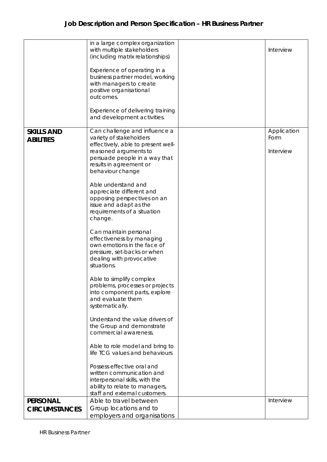|                      | in a large complex organization<br>with multiple stakeholders<br>(including matrix relationships)                                                                                                                                                                                                                                                                                                                                                                                                                                                                                           | Interview         |
|----------------------|---------------------------------------------------------------------------------------------------------------------------------------------------------------------------------------------------------------------------------------------------------------------------------------------------------------------------------------------------------------------------------------------------------------------------------------------------------------------------------------------------------------------------------------------------------------------------------------------|-------------------|
|                      | Experience of operating in a<br>business partner model, working<br>with managers to create<br>positive organisational<br>outcomes.                                                                                                                                                                                                                                                                                                                                                                                                                                                          |                   |
|                      | Experience of delivering training<br>and development activities.                                                                                                                                                                                                                                                                                                                                                                                                                                                                                                                            |                   |
| <b>ABILITIES</b>     | variety of stakeholders<br>effectively, able to present well-<br>reasoned arguments to<br>persuade people in a way that<br>results in agreement or<br>behaviour change<br>Able understand and<br>appreciate different and<br>opposing perspectives on an<br>issue and adapt as the<br>requirements of a situation<br>change.<br>Can maintain personal<br>effectiveness by managing<br>own emotions in the face of<br>pressure, set-backs or when<br>dealing with provocative<br>situations.<br>Able to simplify complex<br>problems, processes or projects<br>into component parts, explore | Form<br>Interview |
|                      | and evaluate them<br>systematically.<br>Understand the value drivers of<br>the Group and demonstrate<br>commercial awareness.                                                                                                                                                                                                                                                                                                                                                                                                                                                               |                   |
|                      | Able to role model and bring to<br>life TCG values and behaviours                                                                                                                                                                                                                                                                                                                                                                                                                                                                                                                           |                   |
|                      | Possess effective oral and<br>written communication and<br>interpersonal skills, with the<br>ability to relate to managers,<br>staff and external customers.                                                                                                                                                                                                                                                                                                                                                                                                                                |                   |
| <b>PERSONAL</b>      | Able to travel between                                                                                                                                                                                                                                                                                                                                                                                                                                                                                                                                                                      | Interview         |
| <b>CIRCUMSTANCES</b> | Group locations and to                                                                                                                                                                                                                                                                                                                                                                                                                                                                                                                                                                      |                   |
|                      | employers and organisations                                                                                                                                                                                                                                                                                                                                                                                                                                                                                                                                                                 |                   |